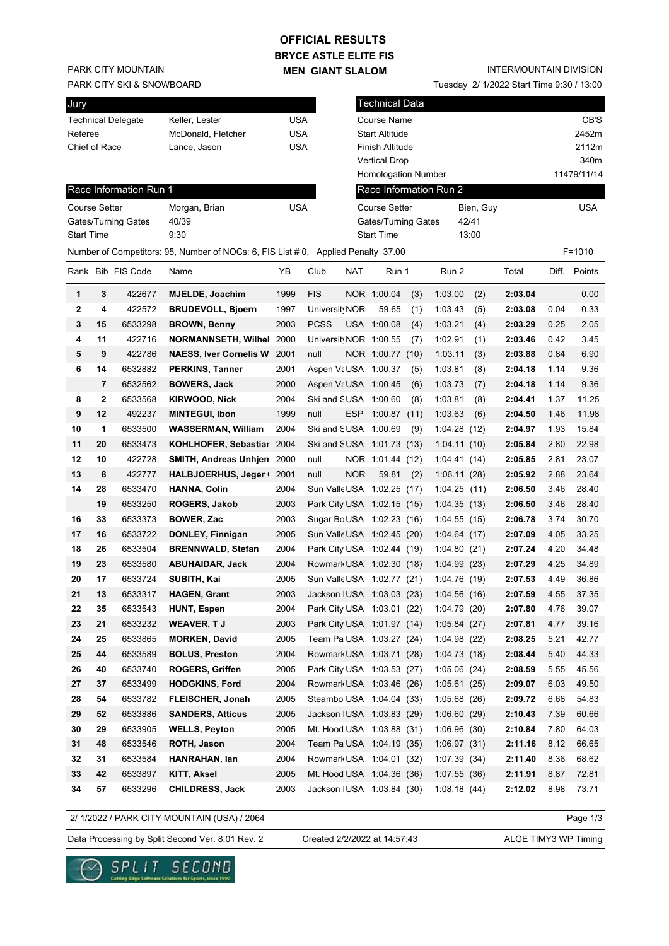# **BRYCE ASTLE ELITE FIS OFFICIAL RESULTS**

**MEN GIANT SLALOM**

Technical Data

Tuesday 2/ 1/2022 Start Time 9:30 / 13:00

INTERMOUNTAIN DIVISION

PARK CITY MOUNTAIN

**Jury** 

PARK CITY SKI & SNOWBOARD

|                      |    | Technical Delegate     | Keller, Lester                                                                    | <b>USA</b> |               |            | Course Name                |     |                        |           |         |      | CB'S         |
|----------------------|----|------------------------|-----------------------------------------------------------------------------------|------------|---------------|------------|----------------------------|-----|------------------------|-----------|---------|------|--------------|
| Referee              |    |                        | McDonald, Fletcher                                                                | <b>USA</b> |               |            | <b>Start Altitude</b>      |     |                        |           |         |      | 2452m        |
| Chief of Race        |    |                        | Lance, Jason                                                                      | <b>USA</b> |               |            | Finish Altitude            |     |                        |           |         |      | 2112m        |
|                      |    |                        |                                                                                   |            |               |            | <b>Vertical Drop</b>       |     |                        |           |         |      | 340m         |
|                      |    |                        |                                                                                   |            |               |            | Homologation Number        |     |                        |           |         |      | 11479/11/14  |
|                      |    | Race Information Run 1 |                                                                                   |            |               |            |                            |     | Race Information Run 2 |           |         |      |              |
| <b>Course Setter</b> |    |                        | Morgan, Brian                                                                     | <b>USA</b> |               |            | <b>Course Setter</b>       |     |                        | Bien, Guy |         |      | USA          |
|                      |    | Gates/Turning Gates    | 40/39                                                                             |            |               |            | Gates/Turning Gates        |     |                        | 42/41     |         |      |              |
| <b>Start Time</b>    |    |                        | 9:30                                                                              |            |               |            | <b>Start Time</b>          |     |                        | 13:00     |         |      |              |
|                      |    |                        | Number of Competitors: 95, Number of NOCs: 6, FIS List # 0, Applied Penalty 37.00 |            |               |            |                            |     |                        |           |         |      | $F = 1010$   |
|                      |    | Rank Bib FIS Code      | Name                                                                              | YΒ         | Club          | NAT        | Run 1                      |     | Run 2                  |           | Total   |      | Diff. Points |
| 1                    | 3  | 422677                 | <b>MJELDE, Joachim</b>                                                            | 1999       | <b>FIS</b>    |            | NOR 1:00.04                | (3) | 1:03.00                | (2)       | 2:03.04 |      | 0.00         |
| 2                    | 4  | 422572                 | <b>BRUDEVOLL, Bjoern</b>                                                          | 1997       | Universit NOR |            | 59.65                      | (1) | 1:03.43                | (5)       | 2:03.08 | 0.04 | 0.33         |
| 3                    | 15 | 6533298                | <b>BROWN, Benny</b>                                                               | 2003       | <b>PCSS</b>   |            | USA 1:00.08                | (4) | 1:03.21                | (4)       | 2:03.29 | 0.25 | 2.05         |
| 4                    | 11 | 422716                 | <b>NORMANNSETH, Wilhel</b>                                                        | 2000       |               |            | Universit NOR 1:00.55      | (7) | 1:02.91                | (1)       | 2:03.46 | 0.42 | 3.45         |
| 5                    | 9  | 422786                 | <b>NAESS, Iver Cornelis W</b>                                                     | 2001       | null          |            | NOR 1:00.77 (10)           |     | 1:03.11                | (3)       | 2:03.88 | 0.84 | 6.90         |
| 6                    | 14 | 6532882                | <b>PERKINS, Tanner</b>                                                            | 2001       |               |            | Aspen VaUSA 1:00.37        | (5) | 1:03.81                | (8)       | 2:04.18 | 1.14 | 9.36         |
|                      | 7  | 6532562                | <b>BOWERS, Jack</b>                                                               | 2000       |               |            | Aspen VaUSA 1:00.45        | (6) | 1:03.73                | (7)       | 2:04.18 | 1.14 | 9.36         |
| 8                    | 2  | 6533568                | <b>KIRWOOD, Nick</b>                                                              | 2004       |               |            | Ski and SUSA 1:00.60       | (8) | 1:03.81                | (8)       | 2:04.41 | 1.37 | 11.25        |
| 9                    | 12 | 492237                 | <b>MINTEGUI, Ibon</b>                                                             | 1999       | null          | ESP        | 1:00.87(11)                |     | 1:03.63                | (6)       | 2:04.50 | 1.46 | 11.98        |
| 10                   | 1  | 6533500                | <b>WASSERMAN, William</b>                                                         | 2004       |               |            | Ski and SUSA 1:00.69       | (9) | 1:04.28(12)            |           | 2:04.97 | 1.93 | 15.84        |
| 11                   | 20 | 6533473                | KOHLHOFER, Sebastial 2004                                                         |            |               |            | Ski and SUSA 1:01.73 (13)  |     | 1:04.11(10)            |           | 2:05.84 | 2.80 | 22.98        |
| 12                   | 10 | 422728                 | <b>SMITH, Andreas Unhjen</b>                                                      | 2000       | null          |            | NOR 1:01.44 (12)           |     | 1:04.41(14)            |           | 2:05.85 | 2.81 | 23.07        |
| 13                   | 8  | 422777                 | HALBJOERHUS, Jeger                                                                | 2001       | null          | <b>NOR</b> | 59.81                      | (2) | 1:06.11(28)            |           | 2:05.92 | 2.88 | 23.64        |
| 14                   | 28 | 6533470                | <b>HANNA, Colin</b>                                                               | 2004       |               |            | Sun Valle USA 1:02.25 (17) |     | 1:04.25(11)            |           | 2:06.50 | 3.46 | 28.40        |
|                      | 19 | 6533250                | <b>ROGERS, Jakob</b>                                                              | 2003       |               |            | Park City USA 1:02.15 (15) |     | 1:04.35(13)            |           | 2:06.50 | 3.46 | 28.40        |
| 16                   | 33 | 6533373                | <b>BOWER, Zac</b>                                                                 | 2003       |               |            | Sugar BoUSA 1:02.23 (16)   |     | 1:04.55(15)            |           | 2:06.78 | 3.74 | 30.70        |
| 17                   | 16 | 6533722                | DONLEY, Finnigan                                                                  | 2005       |               |            | Sun Valle USA 1:02.45 (20) |     | 1:04.64(17)            |           | 2:07.09 | 4.05 | 33.25        |
| 18                   | 26 | 6533504                | <b>BRENNWALD, Stefan</b>                                                          | 2004       |               |            | Park City USA 1:02.44 (19) |     | 1:04.80(21)            |           | 2:07.24 | 4.20 | 34.48        |
| 19                   | 23 | 6533580                | <b>ABUHAIDAR, Jack</b>                                                            | 2004       |               |            | Rowmark USA 1:02.30 (18)   |     | 1:04.99(23)            |           | 2:07.29 | 4.25 | 34.89        |
| 20                   | 17 | 6533724                | SUBITH, Kai                                                                       | 2005       |               |            | Sun Valle USA 1:02.77 (21) |     | 1:04.76(19)            |           | 2:07.53 | 4.49 | 36.86        |
| 21                   | 13 | 6533317                | <b>HAGEN, Grant</b>                                                               | 2003       |               |            | Jackson IUSA 1:03.03 (23)  |     | 1:04.56(16)            |           | 2:07.59 | 4.55 | 37.35        |
| 22                   | 35 | 6533543                | <b>HUNT, Espen</b>                                                                | 2004       |               |            | Park City USA 1:03.01 (22) |     | 1:04.79(20)            |           | 2:07.80 | 4.76 | 39.07        |
| 23                   | 21 | 6533232                | <b>WEAVER, TJ</b>                                                                 | 2003       |               |            | Park City USA 1:01.97 (14) |     | 1:05.84(27)            |           | 2:07.81 | 4.77 | 39.16        |
| 24                   | 25 | 6533865                | <b>MORKEN, David</b>                                                              | 2005       |               |            | Team Pa USA 1:03.27 (24)   |     | 1:04.98(22)            |           | 2:08.25 | 5.21 | 42.77        |
| 25                   | 44 | 6533589                | <b>BOLUS, Preston</b>                                                             | 2004       |               |            | Rowmark USA 1:03.71 (28)   |     | 1:04.73(18)            |           | 2:08.44 | 5.40 | 44.33        |
| 26                   | 40 | 6533740                | <b>ROGERS, Griffen</b>                                                            | 2005       |               |            | Park City USA 1:03.53 (27) |     | 1:05.06(24)            |           | 2:08.59 | 5.55 | 45.56        |
| 27                   | 37 | 6533499                | <b>HODGKINS, Ford</b>                                                             | 2004       |               |            | Rowmark USA 1:03.46 (26)   |     | 1:05.61(25)            |           | 2:09.07 | 6.03 | 49.50        |
| 28                   | 54 | 6533782                | <b>FLEISCHER, Jonah</b>                                                           | 2005       |               |            | Steambo USA 1:04.04 (33)   |     | 1:05.68(26)            |           | 2:09.72 | 6.68 | 54.83        |
| 29                   | 52 | 6533886                | <b>SANDERS, Atticus</b>                                                           | 2005       |               |            | Jackson IUSA 1:03.83 (29)  |     | 1:06.60(29)            |           | 2:10.43 | 7.39 | 60.66        |
| 30                   | 29 | 6533905                | <b>WELLS, Peyton</b>                                                              | 2005       |               |            | Mt. Hood USA 1:03.88 (31)  |     | 1:06.96(30)            |           | 2:10.84 | 7.80 | 64.03        |
| 31                   | 48 | 6533546                | ROTH, Jason                                                                       | 2004       |               |            | Team Pa USA 1:04.19 (35)   |     | 1:06.97(31)            |           | 2:11.16 | 8.12 | 66.65        |
| 32                   | 31 | 6533584                | HANRAHAN, lan                                                                     | 2004       |               |            | Rowmark USA 1:04.01 (32)   |     | 1:07.39(34)            |           | 2:11.40 | 8.36 | 68.62        |
| 33                   | 42 | 6533897                | KITT, Aksel                                                                       | 2005       |               |            | Mt. Hood USA 1:04.36 (36)  |     | 1:07.55(36)            |           | 2:11.91 | 8.87 | 72.81        |
| 34                   | 57 | 6533296                | <b>CHILDRESS, Jack</b>                                                            | 2003       |               |            | Jackson IUSA 1:03.84 (30)  |     | 1:08.18(44)            |           | 2:12.02 | 8.98 | 73.71        |

2/ 1/2022 / PARK CITY MOUNTAIN (USA) / 2064

Page 1/3

Data Processing by Split Second Ver. 8.01 Rev. 2 Created 2/2/2022 at 14:57:43 ALGE TIMY3 WP Timing

Created 2/2/2022 at 14:57:43

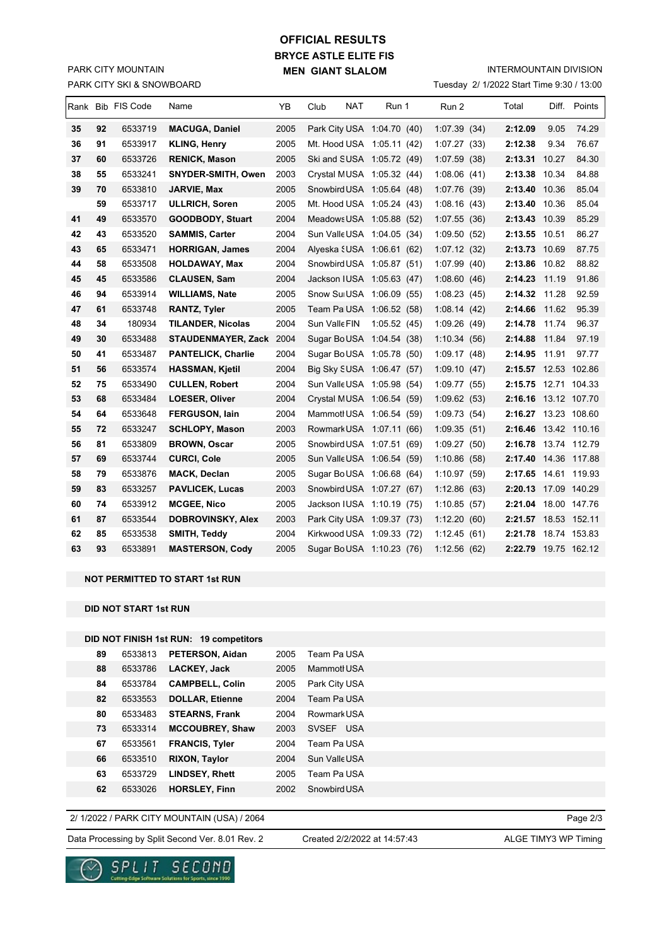## PARK CITY SKI & SNOWBOARD PARK CITY MOUNTAIN

# **BRYCE ASTLE ELITE FIS MEN GIANT SLALOM OFFICIAL RESULTS**

INTERMOUNTAIN DIVISION

Tuesday 2/ 1/2022 Start Time 9:30 / 13:00

|    |    | Rank Bib FIS Code | Name                      | ΥB   | Club                       | NAT | Run 1       | Run 2        | Total                | Diff. | Points       |
|----|----|-------------------|---------------------------|------|----------------------------|-----|-------------|--------------|----------------------|-------|--------------|
| 35 | 92 | 6533719           | <b>MACUGA, Daniel</b>     | 2005 | Park City USA 1:04.70 (40) |     |             | 1:07.39(34)  | 2:12.09              | 9.05  | 74.29        |
| 36 | 91 | 6533917           | <b>KLING, Henry</b>       | 2005 | Mt. Hood USA 1:05.11 (42)  |     |             | 1:07.27(33)  | 2:12.38              | 9.34  | 76.67        |
| 37 | 60 | 6533726           | <b>RENICK, Mason</b>      | 2005 | Ski and SUSA 1:05.72 (49)  |     |             | 1:07.59(38)  | 2:13.31              | 10.27 | 84.30        |
| 38 | 55 | 6533241           | SNYDER-SMITH, Owen        | 2003 | Crystal MUSA 1:05.32 (44)  |     |             | 1:08.06(41)  | 2:13.38              | 10.34 | 84.88        |
| 39 | 70 | 6533810           | JARVIE, Max               | 2005 | Snowbird USA 1:05.64 (48)  |     |             | 1:07.76 (39) | 2:13.40              | 10.36 | 85.04        |
|    | 59 | 6533717           | <b>ULLRICH, Soren</b>     | 2005 | Mt. Hood USA 1:05.24 (43)  |     |             | 1:08.16(43)  | 2:13.40 10.36        |       | 85.04        |
| 41 | 49 | 6533570           | GOODBODY, Stuart          | 2004 | Meadows USA 1:05.88 (52)   |     |             | 1:07.55(36)  | 2:13.43 10.39        |       | 85.29        |
| 42 | 43 | 6533520           | <b>SAMMIS, Carter</b>     | 2004 | Sun Valle USA 1:04.05 (34) |     |             | 1:09.50(52)  | 2:13.55 10.51        |       | 86.27        |
| 43 | 65 | 6533471           | <b>HORRIGAN, James</b>    | 2004 | Alyeska {USA 1:06.61 (62)  |     |             | 1:07.12(32)  | 2:13.73 10.69        |       | 87.75        |
| 44 | 58 | 6533508           | <b>HOLDAWAY, Max</b>      | 2004 | Snowbird USA 1:05.87 (51)  |     |             | 1:07.99(40)  | 2:13.86 10.82        |       | 88.82        |
| 45 | 45 | 6533586           | <b>CLAUSEN, Sam</b>       | 2004 | Jackson IUSA 1:05.63 (47)  |     |             | 1:08.60(46)  | 2:14.23 11.19        |       | 91.86        |
| 46 | 94 | 6533914           | <b>WILLIAMS, Nate</b>     | 2005 | Snow Sui USA 1:06.09 (55)  |     |             | 1:08.23(45)  | 2:14.32 11.28        |       | 92.59        |
| 47 | 61 | 6533748           | <b>RANTZ, Tyler</b>       | 2005 | Team Pa USA 1:06.52 (58)   |     |             | 1:08.14(42)  | 2:14.66              | 11.62 | 95.39        |
| 48 | 34 | 180934            | <b>TILANDER, Nicolas</b>  | 2004 | Sun Valle FIN              |     | 1:05.52(45) | 1:09.26(49)  | 2:14.78 11.74        |       | 96.37        |
| 49 | 30 | 6533488           | STAUDENMAYER, Zack 2004   |      | Sugar BoUSA 1:04.54 (38)   |     |             | 1:10.34(56)  | 2:14.88              | 11.84 | 97.19        |
| 50 | 41 | 6533487           | <b>PANTELICK, Charlie</b> | 2004 | Sugar BoUSA 1:05.78 (50)   |     |             | 1:09.17(48)  | 2:14.95              | 11.91 | 97.77        |
| 51 | 56 | 6533574           | <b>HASSMAN, Kjetil</b>    | 2004 | Big Sky SUSA 1:06.47 (57)  |     |             | 1:09.10(47)  | 2:15.57 12.53 102.86 |       |              |
| 52 | 75 | 6533490           | <b>CULLEN, Robert</b>     | 2004 | Sun Valle USA 1:05.98 (54) |     |             | 1:09.77(55)  | 2:15.75 12.71 104.33 |       |              |
| 53 | 68 | 6533484           | LOESER, Oliver            | 2004 | Crystal MUSA 1:06.54 (59)  |     |             | 1:09.62(53)  | 2:16.16 13.12 107.70 |       |              |
| 54 | 64 | 6533648           | FERGUSON, lain            | 2004 | Mammotl USA 1:06.54 (59)   |     |             | 1:09.73(54)  | 2:16.27 13.23 108.60 |       |              |
| 55 | 72 | 6533247           | <b>SCHLOPY, Mason</b>     | 2003 | Rowmark USA 1:07.11 (66)   |     |             | 1:09.35(51)  | 2:16.46 13.42 110.16 |       |              |
| 56 | 81 | 6533809           | <b>BROWN, Oscar</b>       | 2005 | Snowbird USA 1:07.51 (69)  |     |             | 1:09.27(50)  | 2:16.78 13.74 112.79 |       |              |
| 57 | 69 | 6533744           | <b>CURCI, Cole</b>        | 2005 | Sun Valle USA 1:06.54 (59) |     |             | 1:10.86(58)  | 2:17.40 14.36 117.88 |       |              |
| 58 | 79 | 6533876           | <b>MACK, Declan</b>       | 2005 | Sugar BoUSA 1:06.68 (64)   |     |             | 1:10.97(59)  | 2:17.65 14.61 119.93 |       |              |
| 59 | 83 | 6533257           | <b>PAVLICEK, Lucas</b>    | 2003 | Snowbird USA 1:07.27 (67)  |     |             | 1:12.86(63)  | 2:20.13 17.09 140.29 |       |              |
| 60 | 74 | 6533912           | <b>MCGEE, Nico</b>        | 2005 | Jackson IUSA 1:10.19 (75)  |     |             | 1:10.85(57)  | 2:21.04 18.00 147.76 |       |              |
| 61 | 87 | 6533544           | <b>DOBROVINSKY, Alex</b>  | 2003 | Park City USA 1:09.37 (73) |     |             | 1:12.20(60)  | 2:21.57 18.53 152.11 |       |              |
| 62 | 85 | 6533538           | SMITH, Teddy              | 2004 | Kirkwood USA 1:09.33 (72)  |     |             | 1:12.45(61)  | 2:21.78              |       | 18.74 153.83 |
| 63 | 93 | 6533891           | <b>MASTERSON, Cody</b>    | 2005 | Sugar BoUSA 1:10.23 (76)   |     |             | 1:12.56(62)  | 2:22.79 19.75 162.12 |       |              |
|    |    |                   |                           |      |                            |     |             |              |                      |       |              |

### **NOT PERMITTED TO START 1st RUN**

**DID NOT START 1st RUN**

## **DID NOT FINISH 1st RUN: 19 competitors**

| 88<br>LACKEY, Jack<br>2005<br>Mammotl USA<br>6533786<br><b>CAMPBELL, Colin</b><br>84<br>Park City USA<br>6533784<br>2005<br>82<br><b>DOLLAR, Etienne</b><br>Team Pa USA<br>2004<br>6533553<br>80<br><b>STEARNS, Frank</b><br>2004<br>Rowmark USA<br>6533483<br>73<br><b>MCCOUBREY, Shaw</b><br>SVSEF USA<br>2003<br>6533314<br>67<br>Team Pa USA<br>2004<br><b>FRANCIS, Tyler</b><br>6533561<br>66<br><b>RIXON, Taylor</b><br>Sun Valle USA<br>2004<br>6533510<br>63<br>6533729<br><b>LINDSEY, Rhett</b><br>2005<br>Team Pa USA<br>62<br>6533026<br><b>HORSLEY, Finn</b><br>2002<br>Snowbird USA | 89 | 6533813 | PETERSON, Aidan | 2005 | Team Pa USA |
|--------------------------------------------------------------------------------------------------------------------------------------------------------------------------------------------------------------------------------------------------------------------------------------------------------------------------------------------------------------------------------------------------------------------------------------------------------------------------------------------------------------------------------------------------------------------------------------------------|----|---------|-----------------|------|-------------|
|                                                                                                                                                                                                                                                                                                                                                                                                                                                                                                                                                                                                  |    |         |                 |      |             |
|                                                                                                                                                                                                                                                                                                                                                                                                                                                                                                                                                                                                  |    |         |                 |      |             |
|                                                                                                                                                                                                                                                                                                                                                                                                                                                                                                                                                                                                  |    |         |                 |      |             |
|                                                                                                                                                                                                                                                                                                                                                                                                                                                                                                                                                                                                  |    |         |                 |      |             |
|                                                                                                                                                                                                                                                                                                                                                                                                                                                                                                                                                                                                  |    |         |                 |      |             |
|                                                                                                                                                                                                                                                                                                                                                                                                                                                                                                                                                                                                  |    |         |                 |      |             |
|                                                                                                                                                                                                                                                                                                                                                                                                                                                                                                                                                                                                  |    |         |                 |      |             |
|                                                                                                                                                                                                                                                                                                                                                                                                                                                                                                                                                                                                  |    |         |                 |      |             |
|                                                                                                                                                                                                                                                                                                                                                                                                                                                                                                                                                                                                  |    |         |                 |      |             |

### 2/ 1/2022 / PARK CITY MOUNTAIN (USA) / 2064

Data Processing by Split Second Ver. 8.01 Rev. 2 Created 2/2/2022 at 14:57:43 ALGE TIMY3 WP Timing

Created 2/2/2022 at 14:57:43

Page 2/3